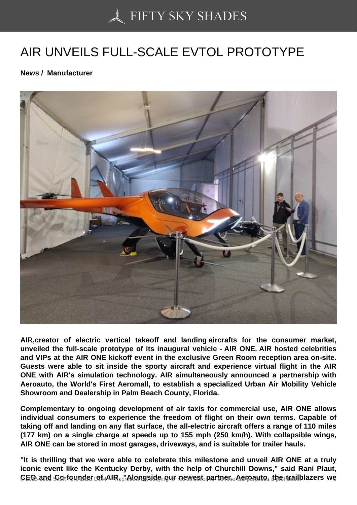## [AIR UNVEILS FULL-SC](https://50skyshades.com)ALE EVTOL PROTOTYPE

News / Manufacturer

AIR,creator of electric vertical takeoff and landing aircrafts for the consumer market, unveiled the full-scale prototype of its inaugural vehicle - AIR ONE. AIR hosted celebrities and VIPs at the AIR ONE kickoff event in the exclusive Green Room reception area on-site. Guests were able to sit inside the sporty aircraft and experience virtual flight in the AIR ONE with AIR's simulation technology. AIR simultaneously announced a partnership with Aeroauto, the World's First Aeromall, to establish a specialized Urban Air Mobility Vehicle Showroom and Dealership in Palm Beach County, Florida.

Complementary to ongoing development of air taxis for commercial use, AIR ONE allows individual consumers to experience the freedom of flight on their own terms. Capable of taking off and landing on any flat surface, the all-electric aircraft offers a range of 110 miles (177 km) on a single charge at speeds up to 155 mph (250 km/h). With collapsible wings, AIR ONE can be stored in most garages, driveways, and is suitable for trailer hauls.

"It is thrilling that we were able to celebrate this milestone and unveil AIR ONE at a truly iconic event like the Kentucky Derby, with the help of Churchill Downs," said Rani Plaut,  $\epsilon$ EQ and Co-founder of AIR  $_5$  Alongside our newest partner, Aeroauto, the trailblazers we  $_{1}$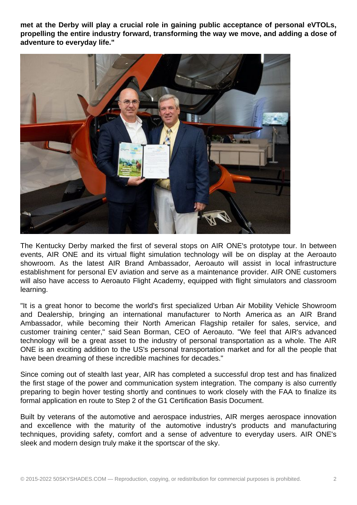**met at the Derby will play a crucial role in gaining public acceptance of personal eVTOLs, propelling the entire industry forward, transforming the way we move, and adding a dose of adventure to everyday life."**



The Kentucky Derby marked the first of several stops on AIR ONE's prototype tour. In between events, AIR ONE and its virtual flight simulation technology will be on display at the Aeroauto showroom. As the latest AIR Brand Ambassador, Aeroauto will assist in local infrastructure establishment for personal EV aviation and serve as a maintenance provider. AIR ONE customers will also have access to Aeroauto Flight Academy, equipped with flight simulators and classroom learning.

"It is a great honor to become the world's first specialized Urban Air Mobility Vehicle Showroom and Dealership, bringing an international manufacturer to North America as an AIR Brand Ambassador, while becoming their North American Flagship retailer for sales, service, and customer training center," said Sean Borman, CEO of Aeroauto. "We feel that AIR's advanced technology will be a great asset to the industry of personal transportation as a whole. The AIR ONE is an exciting addition to the US's personal transportation market and for all the people that have been dreaming of these incredible machines for decades."

Since coming out of stealth last year, AIR has completed a successful drop test and has finalized the first stage of the power and communication system integration. The company is also currently preparing to begin hover testing shortly and continues to work closely with the FAA to finalize its formal application en route to Step 2 of the G1 Certification Basis Document.

Built by veterans of the automotive and aerospace industries, AIR merges aerospace innovation and excellence with the maturity of the automotive industry's products and manufacturing techniques, providing safety, comfort and a sense of adventure to everyday users. AIR ONE's sleek and modern design truly make it the sportscar of the sky.